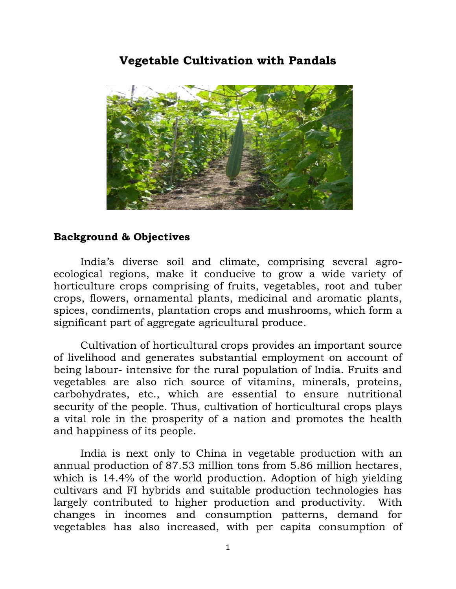### **Vegetable Cultivation with Pandals**



#### **Background & Objectives**

India's diverse soil and climate, comprising several agroecological regions, make it conducive to grow a wide variety of horticulture crops comprising of fruits, vegetables, root and tuber crops, flowers, ornamental plants, medicinal and aromatic plants, spices, condiments, plantation crops and mushrooms, which form a significant part of aggregate agricultural produce.

Cultivation of horticultural crops provides an important source of livelihood and generates substantial employment on account of being labour- intensive for the rural population of India. Fruits and vegetables are also rich source of vitamins, minerals, proteins, carbohydrates, etc., which are essential to ensure nutritional security of the people. Thus, cultivation of horticultural crops plays a vital role in the prosperity of a nation and promotes the health and happiness of its people.

India is next only to China in vegetable production with an annual production of 87.53 million tons from 5.86 million hectares, which is 14.4% of the world production. Adoption of high yielding cultivars and FI hybrids and suitable production technologies has largely contributed to higher production and productivity. With changes in incomes and consumption patterns, demand for vegetables has also increased, with per capita consumption of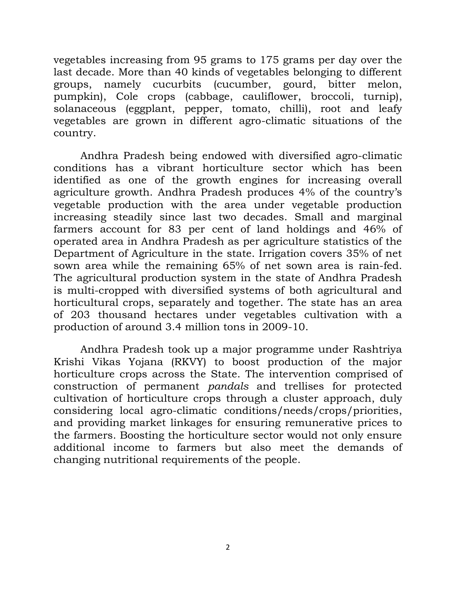vegetables increasing from 95 grams to 175 grams per day over the last decade. More than 40 kinds of vegetables belonging to different groups, namely cucurbits (cucumber, gourd, bitter melon, pumpkin), Cole crops (cabbage, cauliflower, broccoli, turnip), solanaceous (eggplant, pepper, tomato, chilli), root and leafy vegetables are grown in different agro-climatic situations of the country.

Andhra Pradesh being endowed with diversified agro-climatic conditions has a vibrant horticulture sector which has been identified as one of the growth engines for increasing overall agriculture growth. Andhra Pradesh produces 4% of the country's vegetable production with the area under vegetable production increasing steadily since last two decades. Small and marginal farmers account for 83 per cent of land holdings and 46% of operated area in Andhra Pradesh as per agriculture statistics of the Department of Agriculture in the state. Irrigation covers 35% of net sown area while the remaining 65% of net sown area is rain-fed. The agricultural production system in the state of Andhra Pradesh is multi-cropped with diversified systems of both agricultural and horticultural crops, separately and together. The state has an area of 203 thousand hectares under vegetables cultivation with a production of around 3.4 million tons in 2009-10.

Andhra Pradesh took up a major programme under Rashtriya Krishi Vikas Yojana (RKVY) to boost production of the major horticulture crops across the State. The intervention comprised of construction of permanent *pandals* and trellises for protected cultivation of horticulture crops through a cluster approach, duly considering local agro-climatic conditions/needs/crops/priorities, and providing market linkages for ensuring remunerative prices to the farmers. Boosting the horticulture sector would not only ensure additional income to farmers but also meet the demands of changing nutritional requirements of the people.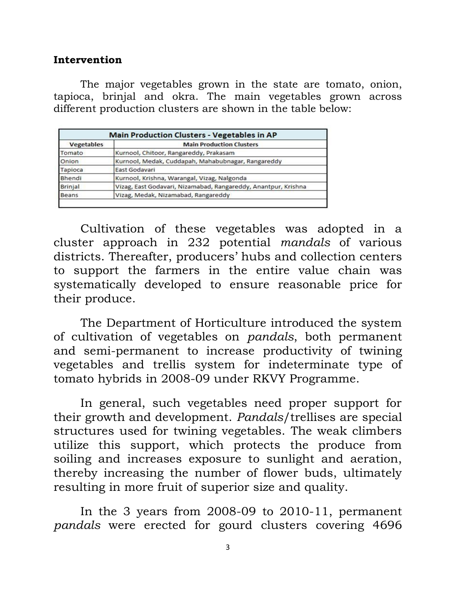#### **Intervention**

The major vegetables grown in the state are tomato, onion, tapioca, brinjal and okra. The main vegetables grown across different production clusters are shown in the table below:

| <b>Main Production Clusters - Vegetables in AP</b> |                                                                |  |  |  |  |
|----------------------------------------------------|----------------------------------------------------------------|--|--|--|--|
| <b>Vegetables</b>                                  | <b>Main Production Clusters</b>                                |  |  |  |  |
| Tomato                                             | Kurnool, Chitoor, Rangareddy, Prakasam                         |  |  |  |  |
| Onion                                              | Kurnool, Medak, Cuddapah, Mahabubnagar, Rangareddy             |  |  |  |  |
| Tapioca                                            | East Godavari                                                  |  |  |  |  |
| Bhendi                                             | Kurnool, Krishna, Warangal, Vizag, Nalgonda                    |  |  |  |  |
| <b>Brinjal</b>                                     | Vizag, East Godavari, Nizamabad, Rangareddy, Anantpur, Krishna |  |  |  |  |
| <b>Beans</b>                                       | Vizag, Medak, Nizamabad, Rangareddy                            |  |  |  |  |

Cultivation of these vegetables was adopted in a cluster approach in 232 potential *mandals* of various districts. Thereafter, producers' hubs and collection centers to support the farmers in the entire value chain was systematically developed to ensure reasonable price for their produce.

The Department of Horticulture introduced the system of cultivation of vegetables on *pandals*, both permanent and semi-permanent to increase productivity of twining vegetables and trellis system for indeterminate type of tomato hybrids in 2008-09 under RKVY Programme.

In general, such vegetables need proper support for their growth and development. *Pandals*/trellises are special structures used for twining vegetables. The weak climbers utilize this support, which protects the produce from soiling and increases exposure to sunlight and aeration, thereby increasing the number of flower buds, ultimately resulting in more fruit of superior size and quality.

In the 3 years from 2008-09 to 2010-11, permanent *pandals* were erected for gourd clusters covering 4696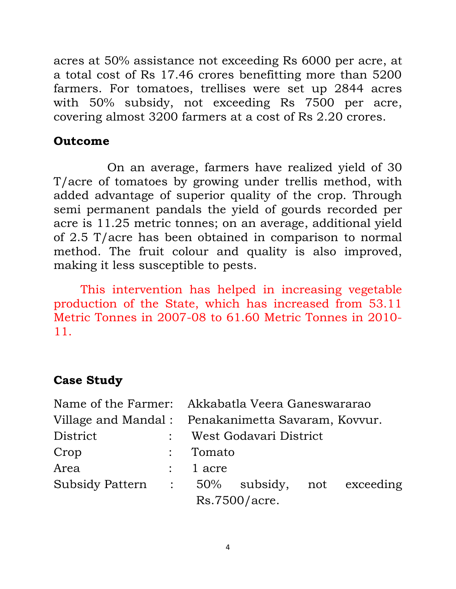acres at 50% assistance not exceeding Rs 6000 per acre, at a total cost of Rs 17.46 crores benefitting more than 5200 farmers. For tomatoes, trellises were set up 2844 acres with 50% subsidy, not exceeding Rs 7500 per acre, covering almost 3200 farmers at a cost of Rs 2.20 crores.

## **Outcome**

On an average, farmers have realized yield of 30 T/acre of tomatoes by growing under trellis method, with added advantage of superior quality of the crop. Through semi permanent pandals the yield of gourds recorded per acre is 11.25 metric tonnes; on an average, additional yield of 2.5 T/acre has been obtained in comparison to normal method. The fruit colour and quality is also improved, making it less susceptible to pests.

This intervention has helped in increasing vegetable production of the State, which has increased from 53.11 Metric Tonnes in 2007-08 to 61.60 Metric Tonnes in 2010- 11.

# **Case Study**

|                                              |                                                    | Name of the Farmer: Akkabatla Veera Ganeswararao |                          |  |  |
|----------------------------------------------|----------------------------------------------------|--------------------------------------------------|--------------------------|--|--|
|                                              | Village and Mandal: Penakanimetta Savaram, Kovvur. |                                                  |                          |  |  |
| District                                     |                                                    |                                                  | : West Godavari District |  |  |
| Crop                                         |                                                    | : Tomato                                         |                          |  |  |
| Area                                         |                                                    | $: 1$ acre                                       |                          |  |  |
| Subsidy Pattern : 50% subsidy, not exceeding |                                                    |                                                  |                          |  |  |
|                                              |                                                    |                                                  | Rs.7500/acre.            |  |  |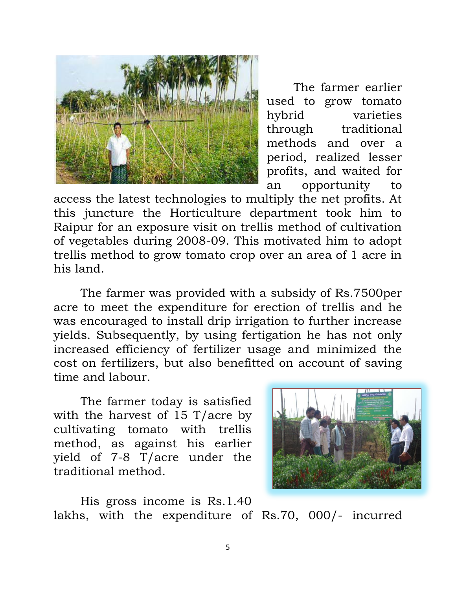

The farmer earlier used to grow tomato hybrid varieties through traditional methods and over a period, realized lesser profits, and waited for an opportunity to

access the latest technologies to multiply the net profits. At this juncture the Horticulture department took him to Raipur for an exposure visit on trellis method of cultivation of vegetables during 2008-09. This motivated him to adopt trellis method to grow tomato crop over an area of 1 acre in his land.

The farmer was provided with a subsidy of Rs.7500per acre to meet the expenditure for erection of trellis and he was encouraged to install drip irrigation to further increase yields. Subsequently, by using fertigation he has not only increased efficiency of fertilizer usage and minimized the cost on fertilizers, but also benefitted on account of saving time and labour.

The farmer today is satisfied with the harvest of 15 T/acre by cultivating tomato with trellis method, as against his earlier yield of 7-8 T/acre under the traditional method.



His gross income is Rs.1.40 lakhs, with the expenditure of Rs.70, 000/- incurred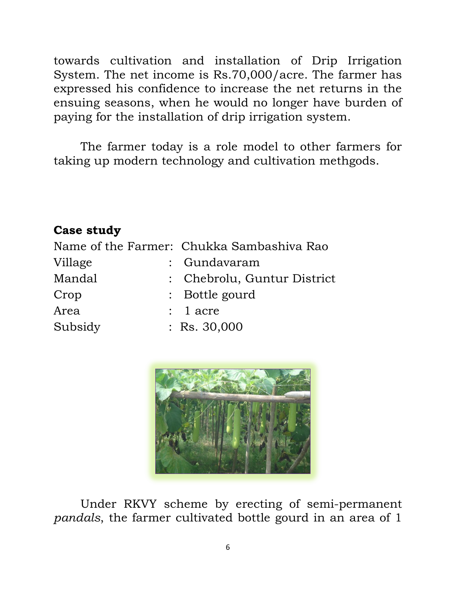towards cultivation and installation of Drip Irrigation System. The net income is Rs.70,000/acre. The farmer has expressed his confidence to increase the net returns in the ensuing seasons, when he would no longer have burden of paying for the installation of drip irrigation system.

The farmer today is a role model to other farmers for taking up modern technology and cultivation methgods.

### **Case study**

|         | Name of the Farmer: Chukka Sambashiva Rao |  |  |
|---------|-------------------------------------------|--|--|
| Village | : Gundavaram                              |  |  |
| Mandal  | : Chebrolu, Guntur District               |  |  |
| Crop    | : Bottle gourd                            |  |  |
| Area    | $: 1$ acre                                |  |  |
| Subsidy | $:$ Rs. 30,000                            |  |  |



Under RKVY scheme by erecting of semi-permanent *pandals*, the farmer cultivated bottle gourd in an area of 1